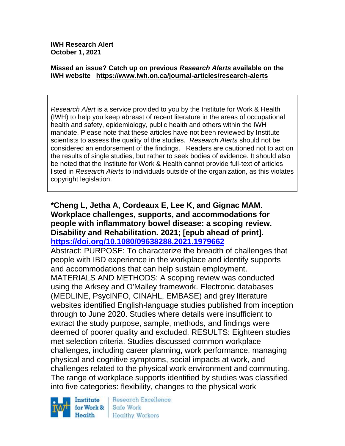**IWH Research Alert October 1, 2021**

#### **Missed an issue? Catch up on previous** *Research Alerts* **available on the [IWH website](http://www.iwh.on.ca/research-alerts) <https://www.iwh.on.ca/journal-articles/research-alerts>**

*Research Alert* is a service provided to you by the Institute for Work & Health (IWH) to help you keep abreast of recent literature in the areas of occupational health and safety, epidemiology, public health and others within the IWH mandate. Please note that these articles have not been reviewed by Institute scientists to assess the quality of the studies. *Research Alerts* should not be considered an endorsement of the findings. Readers are cautioned not to act on the results of single studies, but rather to seek bodies of evidence. It should also be noted that the Institute for Work & Health cannot provide full-text of articles listed in *Research Alerts* to individuals outside of the organization, as this violates copyright legislation.

#### **\*Cheng L, Jetha A, Cordeaux E, Lee K, and Gignac MAM. Workplace challenges, supports, and accommodations for people with inflammatory bowel disease: a scoping review. Disability and Rehabilitation. 2021; [epub ahead of print]. <https://doi.org/10.1080/09638288.2021.1979662>**

Abstract: PURPOSE: To characterize the breadth of challenges that people with IBD experience in the workplace and identify supports and accommodations that can help sustain employment. MATERIALS AND METHODS: A scoping review was conducted using the Arksey and O'Malley framework. Electronic databases (MEDLINE, PsycINFO, CINAHL, EMBASE) and grey literature websites identified English-language studies published from inception through to June 2020. Studies where details were insufficient to extract the study purpose, sample, methods, and findings were deemed of poorer quality and excluded. RESULTS: Eighteen studies met selection criteria. Studies discussed common workplace challenges, including career planning, work performance, managing physical and cognitive symptoms, social impacts at work, and challenges related to the physical work environment and commuting. The range of workplace supports identified by studies was classified into five categories: flexibility, changes to the physical work



**Research Excellence** Safe Work **Healthy Workers**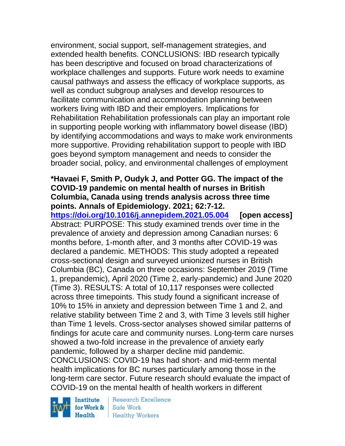environment, social support, self-management strategies, and extended health benefits. CONCLUSIONS: IBD research typically has been descriptive and focused on broad characterizations of workplace challenges and supports. Future work needs to examine causal pathways and assess the efficacy of workplace supports, as well as conduct subgroup analyses and develop resources to facilitate communication and accommodation planning between workers living with IBD and their employers. Implications for Rehabilitation Rehabilitation professionals can play an important role in supporting people working with inflammatory bowel disease (IBD) by identifying accommodations and ways to make work environments more supportive. Providing rehabilitation support to people with IBD goes beyond symptom management and needs to consider the broader social, policy, and environmental challenges of employment

### **\*Havaei F, Smith P, Oudyk J, and Potter GG. The impact of the COVID-19 pandemic on mental health of nurses in British Columbia, Canada using trends analysis across three time points. Annals of Epidemiology. 2021; 62:7-12.**

**<https://doi.org/10.1016/j.annepidem.2021.05.004> [open access]** Abstract: PURPOSE: This study examined trends over time in the prevalence of anxiety and depression among Canadian nurses: 6 months before, 1-month after, and 3 months after COVID-19 was declared a pandemic. METHODS: This study adopted a repeated cross-sectional design and surveyed unionized nurses in British Columbia (BC), Canada on three occasions: September 2019 (Time 1, prepandemic), April 2020 (Time 2, early-pandemic) and June 2020 (Time 3). RESULTS: A total of 10,117 responses were collected across three timepoints. This study found a significant increase of 10% to 15% in anxiety and depression between Time 1 and 2, and relative stability between Time 2 and 3, with Time 3 levels still higher than Time 1 levels. Cross-sector analyses showed similar patterns of findings for acute care and community nurses. Long-term care nurses showed a two-fold increase in the prevalence of anxiety early pandemic, followed by a sharper decline mid pandemic. CONCLUSIONS: COVID-19 has had short- and mid-term mental health implications for BC nurses particularly among those in the long-term care sector. Future research should evaluate the impact of COVID-19 on the mental health of health workers in different

Institute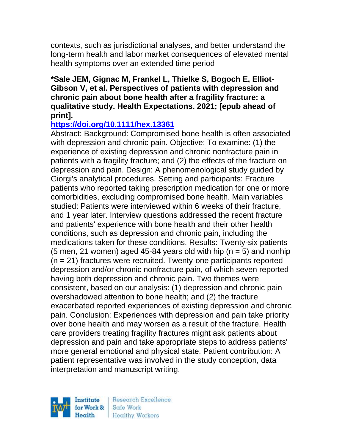contexts, such as jurisdictional analyses, and better understand the long-term health and labor market consequences of elevated mental health symptoms over an extended time period

### **\*Sale JEM, Gignac M, Frankel L, Thielke S, Bogoch E, Elliot-Gibson V, et al. Perspectives of patients with depression and chronic pain about bone health after a fragility fracture: a qualitative study. Health Expectations. 2021; [epub ahead of print].**

# **<https://doi.org/10.1111/hex.13361>**

Abstract: Background: Compromised bone health is often associated with depression and chronic pain. Objective: To examine: (1) the experience of existing depression and chronic nonfracture pain in patients with a fragility fracture; and (2) the effects of the fracture on depression and pain. Design: A phenomenological study guided by Giorgi's analytical procedures. Setting and participants: Fracture patients who reported taking prescription medication for one or more comorbidities, excluding compromised bone health. Main variables studied: Patients were interviewed within 6 weeks of their fracture, and 1 year later. Interview questions addressed the recent fracture and patients' experience with bone health and their other health conditions, such as depression and chronic pain, including the medications taken for these conditions. Results: Twenty-six patients (5 men, 21 women) aged 45-84 years old with hip ( $n = 5$ ) and nonhip (n = 21) fractures were recruited. Twenty-one participants reported depression and/or chronic nonfracture pain, of which seven reported having both depression and chronic pain. Two themes were consistent, based on our analysis: (1) depression and chronic pain overshadowed attention to bone health; and (2) the fracture exacerbated reported experiences of existing depression and chronic pain. Conclusion: Experiences with depression and pain take priority over bone health and may worsen as a result of the fracture. Health care providers treating fragility fractures might ask patients about depression and pain and take appropriate steps to address patients' more general emotional and physical state. Patient contribution: A patient representative was involved in the study conception, data interpretation and manuscript writing.

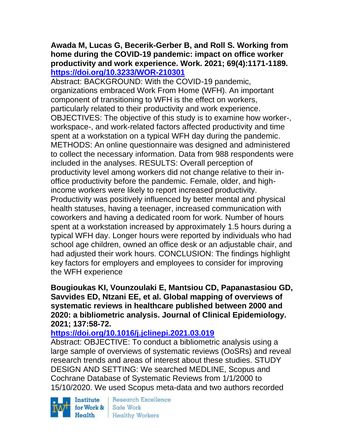# **Awada M, Lucas G, Becerik-Gerber B, and Roll S. Working from home during the COVID-19 pandemic: impact on office worker productivity and work experience. Work. 2021; 69(4):1171-1189. <https://doi.org/10.3233/WOR-210301>**

Abstract: BACKGROUND: With the COVID-19 pandemic, organizations embraced Work From Home (WFH). An important component of transitioning to WFH is the effect on workers, particularly related to their productivity and work experience. OBJECTIVES: The objective of this study is to examine how worker-, workspace-, and work-related factors affected productivity and time spent at a workstation on a typical WFH day during the pandemic. METHODS: An online questionnaire was designed and administered to collect the necessary information. Data from 988 respondents were included in the analyses. RESULTS: Overall perception of productivity level among workers did not change relative to their inoffice productivity before the pandemic. Female, older, and highincome workers were likely to report increased productivity. Productivity was positively influenced by better mental and physical health statuses, having a teenager, increased communication with coworkers and having a dedicated room for work. Number of hours spent at a workstation increased by approximately 1.5 hours during a typical WFH day. Longer hours were reported by individuals who had school age children, owned an office desk or an adjustable chair, and had adjusted their work hours. CONCLUSION: The findings highlight key factors for employers and employees to consider for improving the WFH experience

### **Bougioukas KI, Vounzoulaki E, Mantsiou CD, Papanastasiou GD, Savvides ED, Ntzani EE, et al. Global mapping of overviews of systematic reviews in healthcare published between 2000 and 2020: a bibliometric analysis. Journal of Clinical Epidemiology. 2021; 137:58-72.**

# **<https://doi.org/10.1016/j.jclinepi.2021.03.019>**

Abstract: OBJECTIVE: To conduct a bibliometric analysis using a large sample of overviews of systematic reviews (OoSRs) and reveal research trends and areas of interest about these studies. STUDY DESIGN AND SETTING: We searched MEDLINE, Scopus and Cochrane Database of Systematic Reviews from 1/1/2000 to 15/10/2020. We used Scopus meta-data and two authors recorded

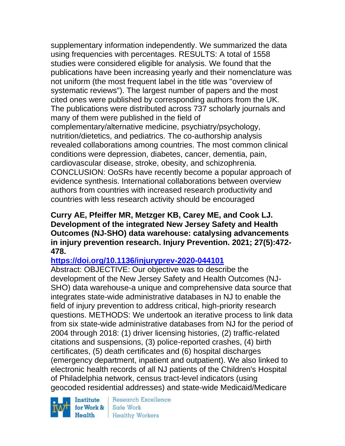supplementary information independently. We summarized the data using frequencies with percentages. RESULTS: A total of 1558 studies were considered eligible for analysis. We found that the publications have been increasing yearly and their nomenclature was not uniform (the most frequent label in the title was "overview of systematic reviews"). The largest number of papers and the most cited ones were published by corresponding authors from the UK. The publications were distributed across 737 scholarly journals and many of them were published in the field of complementary/alternative medicine, psychiatry/psychology, nutrition/dietetics, and pediatrics. The co-authorship analysis revealed collaborations among countries. The most common clinical conditions were depression, diabetes, cancer, dementia, pain, cardiovascular disease, stroke, obesity, and schizophrenia. CONCLUSION: OoSRs have recently become a popular approach of evidence synthesis. International collaborations between overview authors from countries with increased research productivity and countries with less research activity should be encouraged

### **Curry AE, Pfeiffer MR, Metzger KB, Carey ME, and Cook LJ. Development of the integrated New Jersey Safety and Health Outcomes (NJ-SHO) data warehouse: catalysing advancements in injury prevention research. Injury Prevention. 2021; 27(5):472- 478.**

### **<https://doi.org/10.1136/injuryprev-2020-044101>**

Abstract: OBJECTIVE: Our objective was to describe the development of the New Jersey Safety and Health Outcomes (NJ-SHO) data warehouse-a unique and comprehensive data source that integrates state-wide administrative databases in NJ to enable the field of injury prevention to address critical, high-priority research questions. METHODS: We undertook an iterative process to link data from six state-wide administrative databases from NJ for the period of 2004 through 2018: (1) driver licensing histories, (2) traffic-related citations and suspensions, (3) police-reported crashes, (4) birth certificates, (5) death certificates and (6) hospital discharges (emergency department, inpatient and outpatient). We also linked to electronic health records of all NJ patients of the Children's Hospital of Philadelphia network, census tract-level indicators (using geocoded residential addresses) and state-wide Medicaid/Medicare

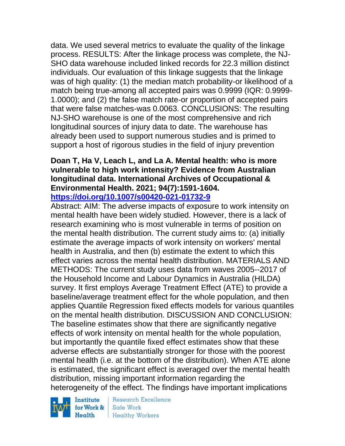data. We used several metrics to evaluate the quality of the linkage process. RESULTS: After the linkage process was complete, the NJ-SHO data warehouse included linked records for 22.3 million distinct individuals. Our evaluation of this linkage suggests that the linkage was of high quality: (1) the median match probability-or likelihood of a match being true-among all accepted pairs was 0.9999 (IQR: 0.9999- 1.0000); and (2) the false match rate-or proportion of accepted pairs that were false matches-was 0.0063. CONCLUSIONS: The resulting NJ-SHO warehouse is one of the most comprehensive and rich longitudinal sources of injury data to date. The warehouse has already been used to support numerous studies and is primed to support a host of rigorous studies in the field of injury prevention

#### **Doan T, Ha V, Leach L, and La A. Mental health: who is more vulnerable to high work intensity? Evidence from Australian longitudinal data. International Archives of Occupational & Environmental Health. 2021; 94(7):1591-1604. <https://doi.org/10.1007/s00420-021-01732-9>**

Abstract: AIM: The adverse impacts of exposure to work intensity on mental health have been widely studied. However, there is a lack of research examining who is most vulnerable in terms of position on the mental health distribution. The current study aims to: (a) initially estimate the average impacts of work intensity on workers' mental health in Australia, and then (b) estimate the extent to which this effect varies across the mental health distribution. MATERIALS AND METHODS: The current study uses data from waves 2005--2017 of the Household Income and Labour Dynamics in Australia (HILDA) survey. It first employs Average Treatment Effect (ATE) to provide a baseline/average treatment effect for the whole population, and then applies Quantile Regression fixed effects models for various quantiles on the mental health distribution. DISCUSSION AND CONCLUSION: The baseline estimates show that there are significantly negative effects of work intensity on mental health for the whole population, but importantly the quantile fixed effect estimates show that these adverse effects are substantially stronger for those with the poorest mental health (i.e. at the bottom of the distribution). When ATE alone is estimated, the significant effect is averaged over the mental health distribution, missing important information regarding the heterogeneity of the effect. The findings have important implications



Research Excellence Safe Work **Healthy Workers**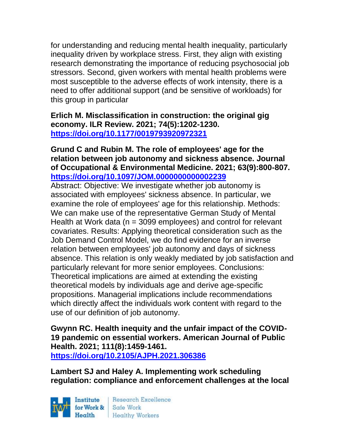for understanding and reducing mental health inequality, particularly inequality driven by workplace stress. First, they align with existing research demonstrating the importance of reducing psychosocial job stressors. Second, given workers with mental health problems were most susceptible to the adverse effects of work intensity, there is a need to offer additional support (and be sensitive of workloads) for this group in particular

**Erlich M. Misclassification in construction: the original gig economy. ILR Review. 2021; 74(5):1202-1230. <https://doi.org/10.1177/0019793920972321>** 

# **Grund C and Rubin M. The role of employees' age for the relation between job autonomy and sickness absence. Journal of Occupational & Environmental Medicine. 2021; 63(9):800-807. <https://doi.org/10.1097/JOM.0000000000002239>**

Abstract: Objective: We investigate whether job autonomy is associated with employees' sickness absence. In particular, we examine the role of employees' age for this relationship. Methods: We can make use of the representative German Study of Mental Health at Work data (n = 3099 employees) and control for relevant covariates. Results: Applying theoretical consideration such as the Job Demand Control Model, we do find evidence for an inverse relation between employees' job autonomy and days of sickness absence. This relation is only weakly mediated by job satisfaction and particularly relevant for more senior employees. Conclusions: Theoretical implications are aimed at extending the existing theoretical models by individuals age and derive age-specific propositions. Managerial implications include recommendations which directly affect the individuals work content with regard to the use of our definition of job autonomy.

**Gwynn RC. Health inequity and the unfair impact of the COVID-19 pandemic on essential workers. American Journal of Public Health. 2021; 111(8):1459-1461. <https://doi.org/10.2105/AJPH.2021.306386>** 

**Lambert SJ and Haley A. Implementing work scheduling regulation: compliance and enforcement challenges at the local** 

Institute for Work & Safe Work Health

Research Excellence Healthy Workers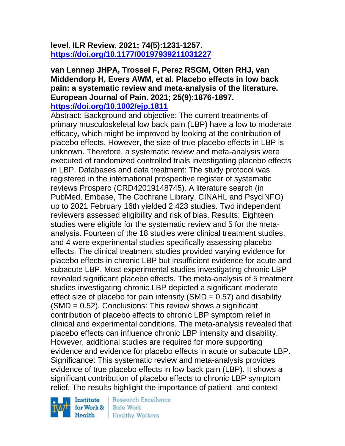## **level. ILR Review. 2021; 74(5):1231-1257. <https://doi.org/10.1177/00197939211031227>**

# **van Lennep JHPA, Trossel F, Perez RSGM, Otten RHJ, van Middendorp H, Evers AWM, et al. Placebo effects in low back pain: a systematic review and meta-analysis of the literature. European Journal of Pain. 2021; 25(9):1876-1897.**

**<https://doi.org/10.1002/ejp.1811>** 

Abstract: Background and objective: The current treatments of primary musculoskeletal low back pain (LBP) have a low to moderate efficacy, which might be improved by looking at the contribution of placebo effects. However, the size of true placebo effects in LBP is unknown. Therefore, a systematic review and meta-analysis were executed of randomized controlled trials investigating placebo effects in LBP. Databases and data treatment: The study protocol was registered in the international prospective register of systematic reviews Prospero (CRD42019148745). A literature search (in PubMed, Embase, The Cochrane Library, CINAHL and PsycINFO) up to 2021 February 16th yielded 2,423 studies. Two independent reviewers assessed eligibility and risk of bias. Results: Eighteen studies were eligible for the systematic review and 5 for the metaanalysis. Fourteen of the 18 studies were clinical treatment studies, and 4 were experimental studies specifically assessing placebo effects. The clinical treatment studies provided varying evidence for placebo effects in chronic LBP but insufficient evidence for acute and subacute LBP. Most experimental studies investigating chronic LBP revealed significant placebo effects. The meta-analysis of 5 treatment studies investigating chronic LBP depicted a significant moderate effect size of placebo for pain intensity (SMD  $= 0.57$ ) and disability (SMD = 0.52). Conclusions: This review shows a significant contribution of placebo effects to chronic LBP symptom relief in clinical and experimental conditions. The meta-analysis revealed that placebo effects can influence chronic LBP intensity and disability. However, additional studies are required for more supporting evidence and evidence for placebo effects in acute or subacute LBP. Significance: This systematic review and meta-analysis provides evidence of true placebo effects in low back pain (LBP). It shows a significant contribution of placebo effects to chronic LBP symptom relief. The results highlight the importance of patient- and context-

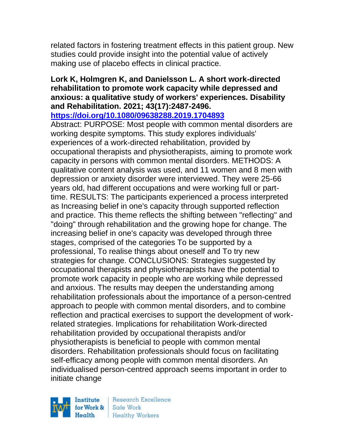related factors in fostering treatment effects in this patient group. New studies could provide insight into the potential value of actively making use of placebo effects in clinical practice.

# **Lork K, Holmgren K, and Danielsson L. A short work-directed rehabilitation to promote work capacity while depressed and anxious: a qualitative study of workers' experiences. Disability and Rehabilitation. 2021; 43(17):2487-2496.**

**<https://doi.org/10.1080/09638288.2019.1704893>** 

Abstract: PURPOSE: Most people with common mental disorders are working despite symptoms. This study explores individuals' experiences of a work-directed rehabilitation, provided by occupational therapists and physiotherapists, aiming to promote work capacity in persons with common mental disorders. METHODS: A qualitative content analysis was used, and 11 women and 8 men with depression or anxiety disorder were interviewed. They were 25-66 years old, had different occupations and were working full or parttime. RESULTS: The participants experienced a process interpreted as Increasing belief in one's capacity through supported reflection and practice. This theme reflects the shifting between "reflecting" and "doing" through rehabilitation and the growing hope for change. The increasing belief in one's capacity was developed through three stages, comprised of the categories To be supported by a professional, To realise things about oneself and To try new strategies for change. CONCLUSIONS: Strategies suggested by occupational therapists and physiotherapists have the potential to promote work capacity in people who are working while depressed and anxious. The results may deepen the understanding among rehabilitation professionals about the importance of a person-centred approach to people with common mental disorders, and to combine reflection and practical exercises to support the development of workrelated strategies. Implications for rehabilitation Work-directed rehabilitation provided by occupational therapists and/or physiotherapists is beneficial to people with common mental disorders. Rehabilitation professionals should focus on facilitating self-efficacy among people with common mental disorders. An individualised person-centred approach seems important in order to initiate change

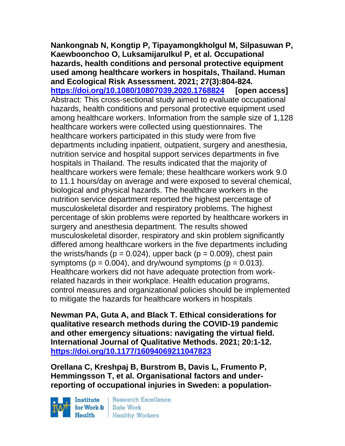**Nankongnab N, Kongtip P, Tipayamongkholgul M, Silpasuwan P, Kaewboonchoo O, Luksamijarulkul P, et al. Occupational hazards, health conditions and personal protective equipment used among healthcare workers in hospitals, Thailand. Human and Ecological Risk Assessment. 2021; 27(3):804-824. <https://doi.org/10.1080/10807039.2020.1768824> [open access]** Abstract: This cross-sectional study aimed to evaluate occupational hazards, health conditions and personal protective equipment used among healthcare workers. Information from the sample size of 1,128 healthcare workers were collected using questionnaires. The healthcare workers participated in this study were from five departments including inpatient, outpatient, surgery and anesthesia, nutrition service and hospital support services departments in five hospitals in Thailand. The results indicated that the majority of healthcare workers were female; these healthcare workers work 9.0 to 11.1 hours/day on average and were exposed to several chemical, biological and physical hazards. The healthcare workers in the nutrition service department reported the highest percentage of musculoskeletal disorder and respiratory problems. The highest percentage of skin problems were reported by healthcare workers in surgery and anesthesia department. The results showed musculoskeletal disorder, respiratory and skin problem significantly differed among healthcare workers in the five departments including the wrists/hands ( $p = 0.024$ ), upper back ( $p = 0.009$ ), chest pain symptoms ( $p = 0.004$ ), and dry/wound symptoms ( $p = 0.013$ ). Healthcare workers did not have adequate protection from workrelated hazards in their workplace. Health education programs, control measures and organizational policies should be implemented to mitigate the hazards for healthcare workers in hospitals

**Newman PA, Guta A, and Black T. Ethical considerations for qualitative research methods during the COVID-19 pandemic and other emergency situations: navigating the virtual field. International Journal of Qualitative Methods. 2021; 20:1-12. <https://doi.org/10.1177/16094069211047823>** 

**Orellana C, Kreshpaj B, Burstrom B, Davis L, Frumento P, Hemmingsson T, et al. Organisational factors and underreporting of occupational injuries in Sweden: a population-**

Institute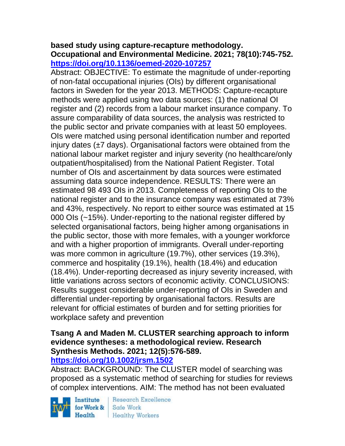#### **based study using capture-recapture methodology. Occupational and Environmental Medicine. 2021; 78(10):745-752. <https://doi.org/10.1136/oemed-2020-107257>**

Abstract: OBJECTIVE: To estimate the magnitude of under-reporting of non-fatal occupational injuries (OIs) by different organisational factors in Sweden for the year 2013. METHODS: Capture-recapture methods were applied using two data sources: (1) the national OI register and (2) records from a labour market insurance company. To assure comparability of data sources, the analysis was restricted to the public sector and private companies with at least 50 employees. OIs were matched using personal identification number and reported injury dates  $(\pm 7 \text{ days})$ . Organisational factors were obtained from the national labour market register and injury severity (no healthcare/only outpatient/hospitalised) from the National Patient Register. Total number of OIs and ascertainment by data sources were estimated assuming data source independence. RESULTS: There were an estimated 98 493 OIs in 2013. Completeness of reporting OIs to the national register and to the insurance company was estimated at 73% and 43%, respectively. No report to either source was estimated at 15 000 OIs (~15%). Under-reporting to the national register differed by selected organisational factors, being higher among organisations in the public sector, those with more females, with a younger workforce and with a higher proportion of immigrants. Overall under-reporting was more common in agriculture (19.7%), other services (19.3%), commerce and hospitality (19.1%), health (18.4%) and education (18.4%). Under-reporting decreased as injury severity increased, with little variations across sectors of economic activity. CONCLUSIONS: Results suggest considerable under-reporting of OIs in Sweden and differential under-reporting by organisational factors. Results are relevant for official estimates of burden and for setting priorities for workplace safety and prevention

# **Tsang A and Maden M. CLUSTER searching approach to inform evidence syntheses: a methodological review. Research Synthesis Methods. 2021; 12(5):576-589.**

### **<https://doi.org/10.1002/jrsm.1502>**

Abstract: BACKGROUND: The CLUSTER model of searching was proposed as a systematic method of searching for studies for reviews of complex interventions. AIM: The method has not been evaluated

Institute